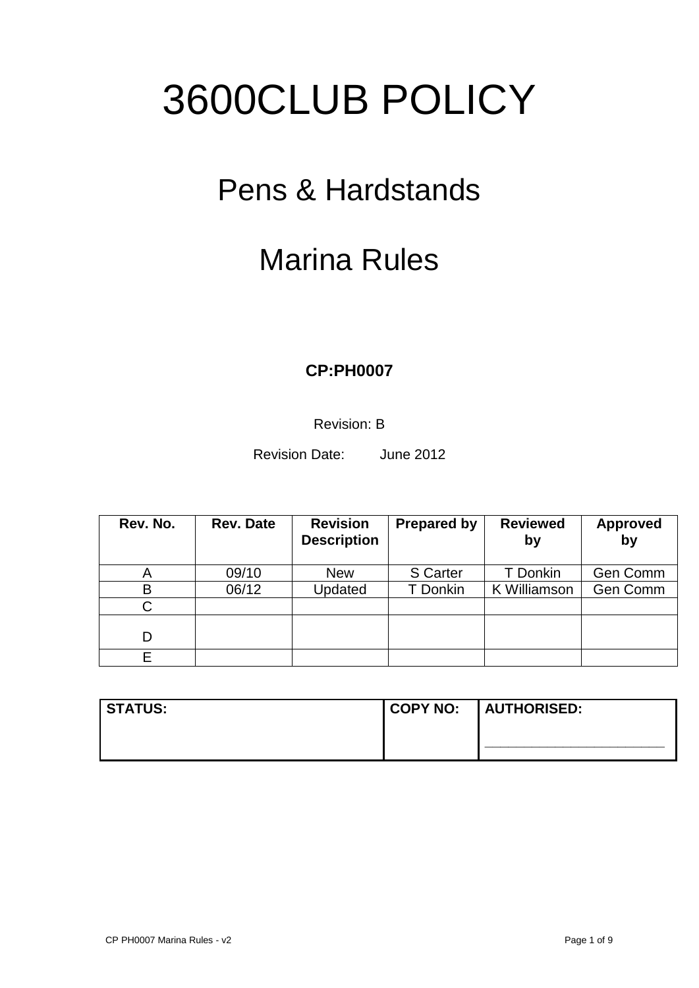# 3600CLUB POLICY

## Pens & Hardstands

## Marina Rules

### **CP:PH0007**

Revision: B

Revision Date: June 2012

| Rev. No. | <b>Rev. Date</b> | <b>Revision</b><br><b>Description</b> | <b>Prepared by</b> | <b>Reviewed</b><br>by | <b>Approved</b><br>by |
|----------|------------------|---------------------------------------|--------------------|-----------------------|-----------------------|
| A        | 09/10            | <b>New</b>                            | S Carter           | T Donkin              | Gen Comm              |
| B        | 06/12            | Updated                               | T Donkin           | K Williamson          | Gen Comm              |
| C        |                  |                                       |                    |                       |                       |
| D        |                  |                                       |                    |                       |                       |
|          |                  |                                       |                    |                       |                       |

| <b>STATUS:</b> |  |
|----------------|--|
|                |  |
|                |  |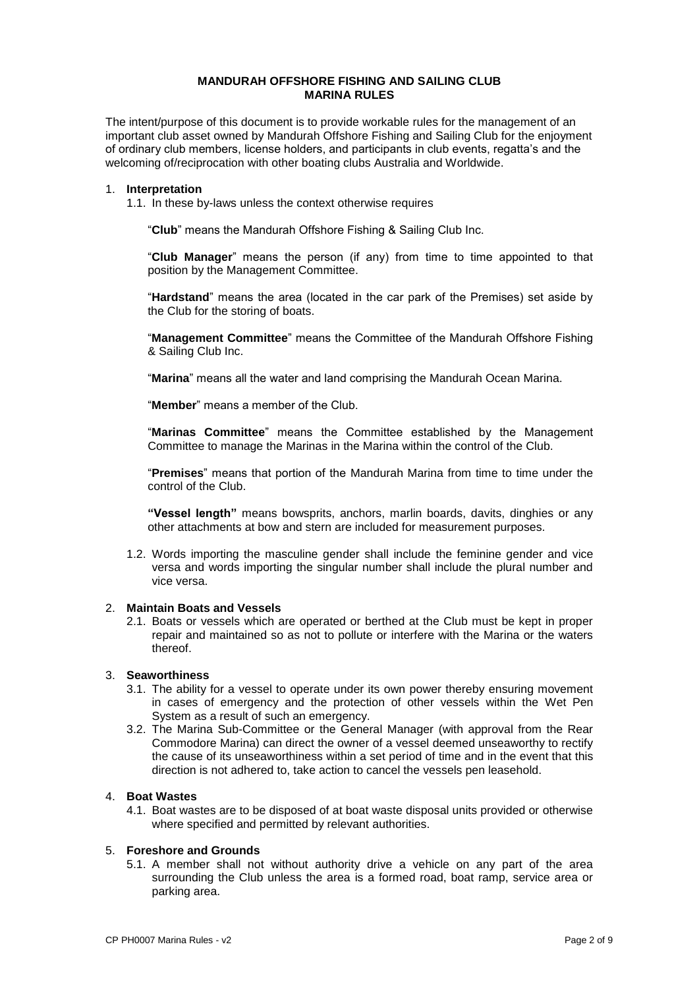#### **MANDURAH OFFSHORE FISHING AND SAILING CLUB MARINA RULES**

The intent/purpose of this document is to provide workable rules for the management of an important club asset owned by Mandurah Offshore Fishing and Sailing Club for the enjoyment of ordinary club members, license holders, and participants in club events, regatta's and the welcoming of/reciprocation with other boating clubs Australia and Worldwide.

#### 1. **Interpretation**

1.1. In these by-laws unless the context otherwise requires

"**Club**" means the Mandurah Offshore Fishing & Sailing Club Inc.

"**Club Manager**" means the person (if any) from time to time appointed to that position by the Management Committee.

"**Hardstand**" means the area (located in the car park of the Premises) set aside by the Club for the storing of boats.

"**Management Committee**" means the Committee of the Mandurah Offshore Fishing & Sailing Club Inc.

"**Marina**" means all the water and land comprising the Mandurah Ocean Marina.

"**Member**" means a member of the Club.

"**Marinas Committee**" means the Committee established by the Management Committee to manage the Marinas in the Marina within the control of the Club.

"**Premises**" means that portion of the Mandurah Marina from time to time under the control of the Club.

**"Vessel length"** means bowsprits, anchors, marlin boards, davits, dinghies or any other attachments at bow and stern are included for measurement purposes.

1.2. Words importing the masculine gender shall include the feminine gender and vice versa and words importing the singular number shall include the plural number and vice versa.

#### 2. **Maintain Boats and Vessels**

2.1. Boats or vessels which are operated or berthed at the Club must be kept in proper repair and maintained so as not to pollute or interfere with the Marina or the waters thereof.

#### 3. **Seaworthiness**

- 3.1. The ability for a vessel to operate under its own power thereby ensuring movement in cases of emergency and the protection of other vessels within the Wet Pen System as a result of such an emergency.
- 3.2. The Marina Sub-Committee or the General Manager (with approval from the Rear Commodore Marina) can direct the owner of a vessel deemed unseaworthy to rectify the cause of its unseaworthiness within a set period of time and in the event that this direction is not adhered to, take action to cancel the vessels pen leasehold.

#### 4. **Boat Wastes**

4.1. Boat wastes are to be disposed of at boat waste disposal units provided or otherwise where specified and permitted by relevant authorities.

#### 5. **Foreshore and Grounds**

5.1. A member shall not without authority drive a vehicle on any part of the area surrounding the Club unless the area is a formed road, boat ramp, service area or parking area.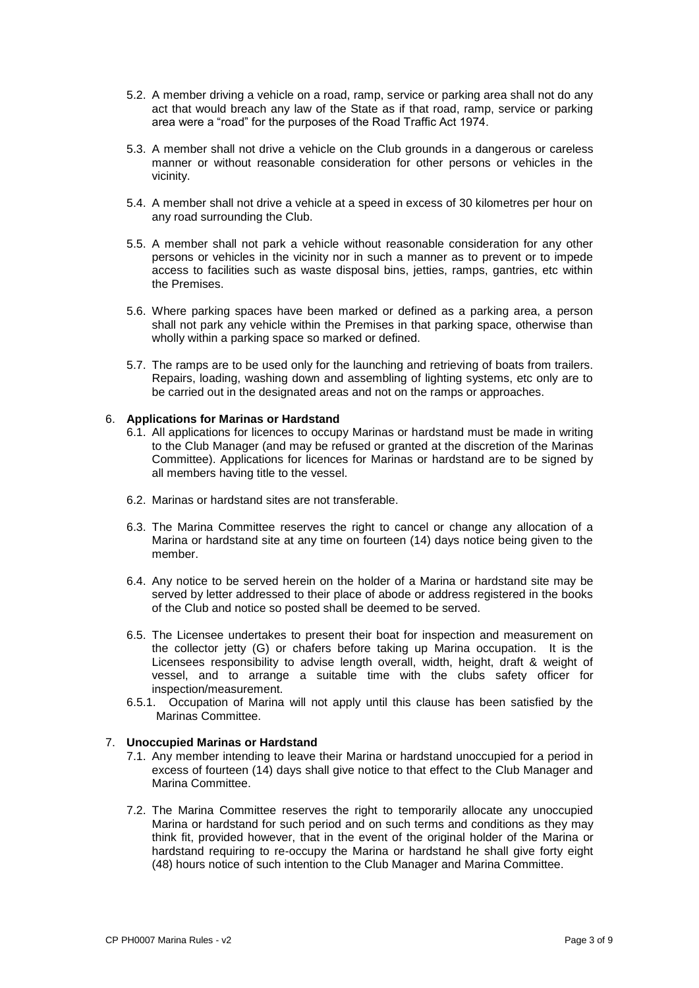- 5.2. A member driving a vehicle on a road, ramp, service or parking area shall not do any act that would breach any law of the State as if that road, ramp, service or parking area were a "road" for the purposes of the Road Traffic Act 1974.
- 5.3. A member shall not drive a vehicle on the Club grounds in a dangerous or careless manner or without reasonable consideration for other persons or vehicles in the vicinity.
- 5.4. A member shall not drive a vehicle at a speed in excess of 30 kilometres per hour on any road surrounding the Club.
- 5.5. A member shall not park a vehicle without reasonable consideration for any other persons or vehicles in the vicinity nor in such a manner as to prevent or to impede access to facilities such as waste disposal bins, jetties, ramps, gantries, etc within the Premises.
- 5.6. Where parking spaces have been marked or defined as a parking area, a person shall not park any vehicle within the Premises in that parking space, otherwise than wholly within a parking space so marked or defined.
- 5.7. The ramps are to be used only for the launching and retrieving of boats from trailers. Repairs, loading, washing down and assembling of lighting systems, etc only are to be carried out in the designated areas and not on the ramps or approaches.

#### 6. **Applications for Marinas or Hardstand**

- 6.1. All applications for licences to occupy Marinas or hardstand must be made in writing to the Club Manager (and may be refused or granted at the discretion of the Marinas Committee). Applications for licences for Marinas or hardstand are to be signed by all members having title to the vessel.
- 6.2. Marinas or hardstand sites are not transferable.
- 6.3. The Marina Committee reserves the right to cancel or change any allocation of a Marina or hardstand site at any time on fourteen (14) days notice being given to the member.
- 6.4. Any notice to be served herein on the holder of a Marina or hardstand site may be served by letter addressed to their place of abode or address registered in the books of the Club and notice so posted shall be deemed to be served.
- 6.5. The Licensee undertakes to present their boat for inspection and measurement on the collector jetty (G) or chafers before taking up Marina occupation. It is the Licensees responsibility to advise length overall, width, height, draft & weight of vessel, and to arrange a suitable time with the clubs safety officer for inspection/measurement.
- 6.5.1. Occupation of Marina will not apply until this clause has been satisfied by the Marinas Committee.

#### 7. **Unoccupied Marinas or Hardstand**

- 7.1. Any member intending to leave their Marina or hardstand unoccupied for a period in excess of fourteen (14) days shall give notice to that effect to the Club Manager and Marina Committee.
- 7.2. The Marina Committee reserves the right to temporarily allocate any unoccupied Marina or hardstand for such period and on such terms and conditions as they may think fit, provided however, that in the event of the original holder of the Marina or hardstand requiring to re-occupy the Marina or hardstand he shall give forty eight (48) hours notice of such intention to the Club Manager and Marina Committee.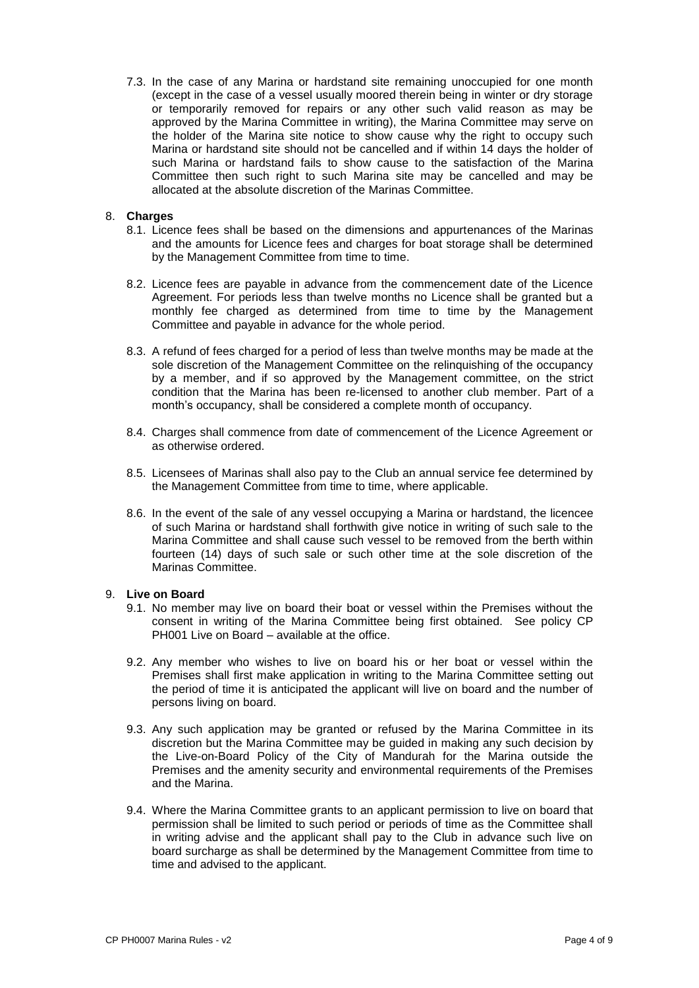7.3. In the case of any Marina or hardstand site remaining unoccupied for one month (except in the case of a vessel usually moored therein being in winter or dry storage or temporarily removed for repairs or any other such valid reason as may be approved by the Marina Committee in writing), the Marina Committee may serve on the holder of the Marina site notice to show cause why the right to occupy such Marina or hardstand site should not be cancelled and if within 14 days the holder of such Marina or hardstand fails to show cause to the satisfaction of the Marina Committee then such right to such Marina site may be cancelled and may be allocated at the absolute discretion of the Marinas Committee.

#### 8. **Charges**

- 8.1. Licence fees shall be based on the dimensions and appurtenances of the Marinas and the amounts for Licence fees and charges for boat storage shall be determined by the Management Committee from time to time.
- 8.2. Licence fees are payable in advance from the commencement date of the Licence Agreement. For periods less than twelve months no Licence shall be granted but a monthly fee charged as determined from time to time by the Management Committee and payable in advance for the whole period.
- 8.3. A refund of fees charged for a period of less than twelve months may be made at the sole discretion of the Management Committee on the relinquishing of the occupancy by a member, and if so approved by the Management committee, on the strict condition that the Marina has been re-licensed to another club member. Part of a month's occupancy, shall be considered a complete month of occupancy.
- 8.4. Charges shall commence from date of commencement of the Licence Agreement or as otherwise ordered.
- 8.5. Licensees of Marinas shall also pay to the Club an annual service fee determined by the Management Committee from time to time, where applicable.
- 8.6. In the event of the sale of any vessel occupying a Marina or hardstand, the licencee of such Marina or hardstand shall forthwith give notice in writing of such sale to the Marina Committee and shall cause such vessel to be removed from the berth within fourteen (14) days of such sale or such other time at the sole discretion of the Marinas Committee.

#### 9. **Live on Board**

- 9.1. No member may live on board their boat or vessel within the Premises without the consent in writing of the Marina Committee being first obtained. See policy CP PH001 Live on Board – available at the office.
- 9.2. Any member who wishes to live on board his or her boat or vessel within the Premises shall first make application in writing to the Marina Committee setting out the period of time it is anticipated the applicant will live on board and the number of persons living on board.
- 9.3. Any such application may be granted or refused by the Marina Committee in its discretion but the Marina Committee may be guided in making any such decision by the Live-on-Board Policy of the City of Mandurah for the Marina outside the Premises and the amenity security and environmental requirements of the Premises and the Marina.
- 9.4. Where the Marina Committee grants to an applicant permission to live on board that permission shall be limited to such period or periods of time as the Committee shall in writing advise and the applicant shall pay to the Club in advance such live on board surcharge as shall be determined by the Management Committee from time to time and advised to the applicant.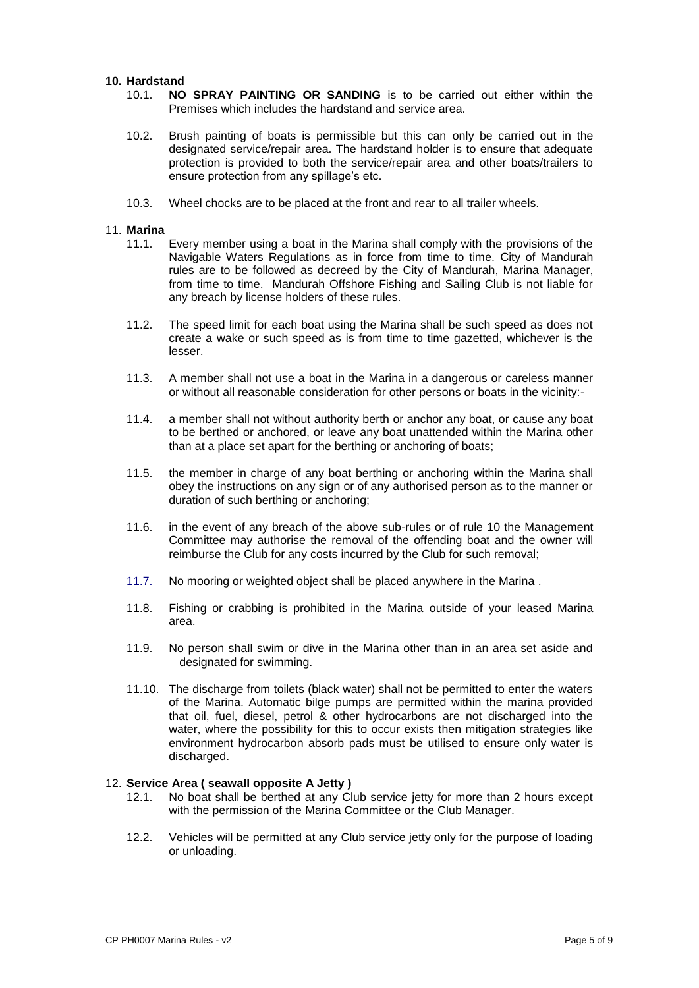#### **10. Hardstand**

- 10.1. **NO SPRAY PAINTING OR SANDING** is to be carried out either within the Premises which includes the hardstand and service area.
- 10.2. Brush painting of boats is permissible but this can only be carried out in the designated service/repair area. The hardstand holder is to ensure that adequate protection is provided to both the service/repair area and other boats/trailers to ensure protection from any spillage's etc.
- 10.3. Wheel chocks are to be placed at the front and rear to all trailer wheels.

#### 11. **Marina**

- 11.1. Every member using a boat in the Marina shall comply with the provisions of the Navigable Waters Regulations as in force from time to time. City of Mandurah rules are to be followed as decreed by the City of Mandurah, Marina Manager, from time to time. Mandurah Offshore Fishing and Sailing Club is not liable for any breach by license holders of these rules.
- 11.2. The speed limit for each boat using the Marina shall be such speed as does not create a wake or such speed as is from time to time gazetted, whichever is the lesser.
- 11.3. A member shall not use a boat in the Marina in a dangerous or careless manner or without all reasonable consideration for other persons or boats in the vicinity:-
- 11.4. a member shall not without authority berth or anchor any boat, or cause any boat to be berthed or anchored, or leave any boat unattended within the Marina other than at a place set apart for the berthing or anchoring of boats;
- 11.5. the member in charge of any boat berthing or anchoring within the Marina shall obey the instructions on any sign or of any authorised person as to the manner or duration of such berthing or anchoring;
- 11.6. in the event of any breach of the above sub-rules or of rule 10 the Management Committee may authorise the removal of the offending boat and the owner will reimburse the Club for any costs incurred by the Club for such removal;
- 11.7. No mooring or weighted object shall be placed anywhere in the Marina .
- 11.8. Fishing or crabbing is prohibited in the Marina outside of your leased Marina area.
- 11.9. No person shall swim or dive in the Marina other than in an area set aside and designated for swimming.
- 11.10. The discharge from toilets (black water) shall not be permitted to enter the waters of the Marina. Automatic bilge pumps are permitted within the marina provided that oil, fuel, diesel, petrol & other hydrocarbons are not discharged into the water, where the possibility for this to occur exists then mitigation strategies like environment hydrocarbon absorb pads must be utilised to ensure only water is discharged.

#### 12. **Service Area ( seawall opposite A Jetty )**

- 12.1. No boat shall be berthed at any Club service jetty for more than 2 hours except with the permission of the Marina Committee or the Club Manager.
- 12.2. Vehicles will be permitted at any Club service jetty only for the purpose of loading or unloading.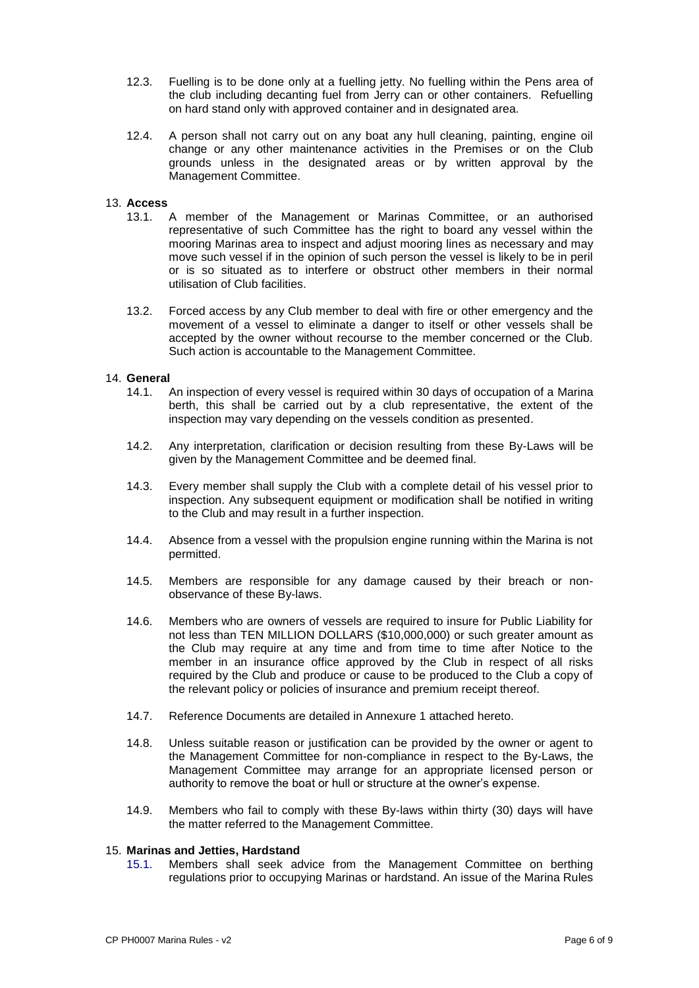- 12.3. Fuelling is to be done only at a fuelling jetty. No fuelling within the Pens area of the club including decanting fuel from Jerry can or other containers. Refuelling on hard stand only with approved container and in designated area.
- 12.4. A person shall not carry out on any boat any hull cleaning, painting, engine oil change or any other maintenance activities in the Premises or on the Club grounds unless in the designated areas or by written approval by the Management Committee.

#### 13. **Access**

- 13.1. A member of the Management or Marinas Committee, or an authorised representative of such Committee has the right to board any vessel within the mooring Marinas area to inspect and adjust mooring lines as necessary and may move such vessel if in the opinion of such person the vessel is likely to be in peril or is so situated as to interfere or obstruct other members in their normal utilisation of Club facilities.
- 13.2. Forced access by any Club member to deal with fire or other emergency and the movement of a vessel to eliminate a danger to itself or other vessels shall be accepted by the owner without recourse to the member concerned or the Club. Such action is accountable to the Management Committee.

#### 14. **General**

- 14.1. An inspection of every vessel is required within 30 days of occupation of a Marina berth, this shall be carried out by a club representative, the extent of the inspection may vary depending on the vessels condition as presented.
- 14.2. Any interpretation, clarification or decision resulting from these By-Laws will be given by the Management Committee and be deemed final.
- 14.3. Every member shall supply the Club with a complete detail of his vessel prior to inspection. Any subsequent equipment or modification shall be notified in writing to the Club and may result in a further inspection.
- 14.4. Absence from a vessel with the propulsion engine running within the Marina is not permitted.
- 14.5. Members are responsible for any damage caused by their breach or nonobservance of these By-laws.
- 14.6. Members who are owners of vessels are required to insure for Public Liability for not less than TEN MILLION DOLLARS (\$10,000,000) or such greater amount as the Club may require at any time and from time to time after Notice to the member in an insurance office approved by the Club in respect of all risks required by the Club and produce or cause to be produced to the Club a copy of the relevant policy or policies of insurance and premium receipt thereof.
- 14.7. Reference Documents are detailed in Annexure 1 attached hereto.
- 14.8. Unless suitable reason or justification can be provided by the owner or agent to the Management Committee for non-compliance in respect to the By-Laws, the Management Committee may arrange for an appropriate licensed person or authority to remove the boat or hull or structure at the owner's expense.
- 14.9. Members who fail to comply with these By-laws within thirty (30) days will have the matter referred to the Management Committee.

#### 15. **Marinas and Jetties, Hardstand**

15.1. Members shall seek advice from the Management Committee on berthing regulations prior to occupying Marinas or hardstand. An issue of the Marina Rules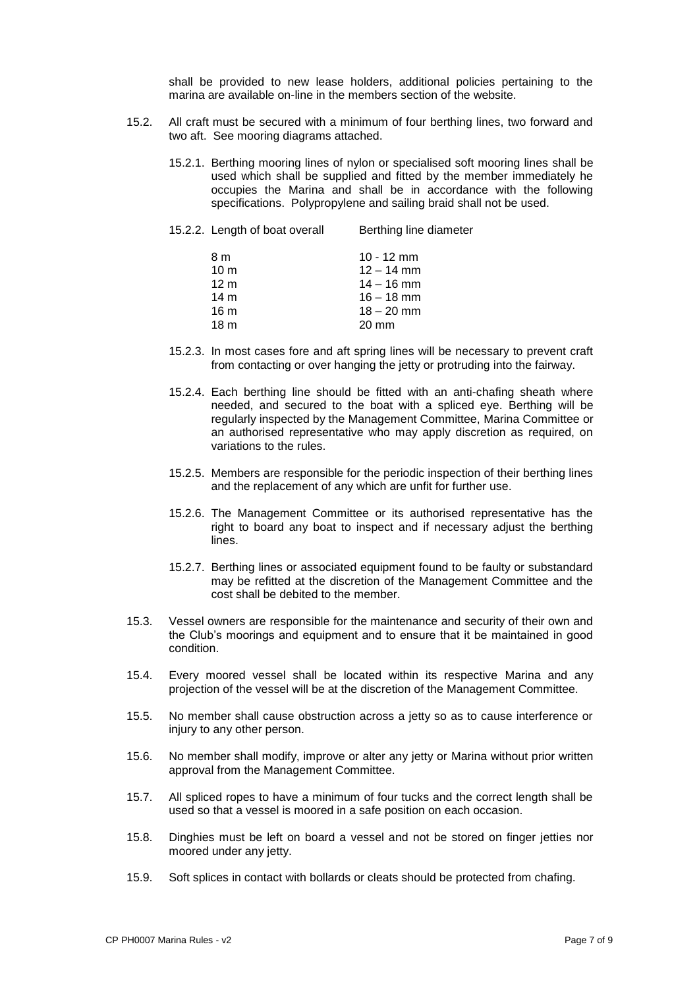shall be provided to new lease holders, additional policies pertaining to the marina are available on-line in the members section of the website.

- 15.2. All craft must be secured with a minimum of four berthing lines, two forward and two aft. See mooring diagrams attached.
	- 15.2.1. Berthing mooring lines of nylon or specialised soft mooring lines shall be used which shall be supplied and fitted by the member immediately he occupies the Marina and shall be in accordance with the following specifications. Polypropylene and sailing braid shall not be used.

| 15.2.2. Length of boat overall | Berthing line diameter |
|--------------------------------|------------------------|
| 8 m                            | $10 - 12$ mm           |
| 10 <sub>m</sub>                | $12 - 14$ mm           |
| 12 <sub>m</sub>                | $14 - 16$ mm           |
| 14 <sub>m</sub>                | $16 - 18$ mm           |
| 16 <sub>m</sub>                | $18 - 20$ mm           |
| 18 <sub>m</sub>                | $20 \text{ mm}$        |
|                                |                        |

- 15.2.3. In most cases fore and aft spring lines will be necessary to prevent craft from contacting or over hanging the jetty or protruding into the fairway.
- 15.2.4. Each berthing line should be fitted with an anti-chafing sheath where needed, and secured to the boat with a spliced eye. Berthing will be regularly inspected by the Management Committee, Marina Committee or an authorised representative who may apply discretion as required, on variations to the rules.
- 15.2.5. Members are responsible for the periodic inspection of their berthing lines and the replacement of any which are unfit for further use.
- 15.2.6. The Management Committee or its authorised representative has the right to board any boat to inspect and if necessary adjust the berthing lines.
- 15.2.7. Berthing lines or associated equipment found to be faulty or substandard may be refitted at the discretion of the Management Committee and the cost shall be debited to the member.
- 15.3. Vessel owners are responsible for the maintenance and security of their own and the Club's moorings and equipment and to ensure that it be maintained in good condition.
- 15.4. Every moored vessel shall be located within its respective Marina and any projection of the vessel will be at the discretion of the Management Committee.
- 15.5. No member shall cause obstruction across a jetty so as to cause interference or injury to any other person.
- 15.6. No member shall modify, improve or alter any jetty or Marina without prior written approval from the Management Committee.
- 15.7. All spliced ropes to have a minimum of four tucks and the correct length shall be used so that a vessel is moored in a safe position on each occasion.
- 15.8. Dinghies must be left on board a vessel and not be stored on finger jetties nor moored under any jetty.
- 15.9. Soft splices in contact with bollards or cleats should be protected from chafing.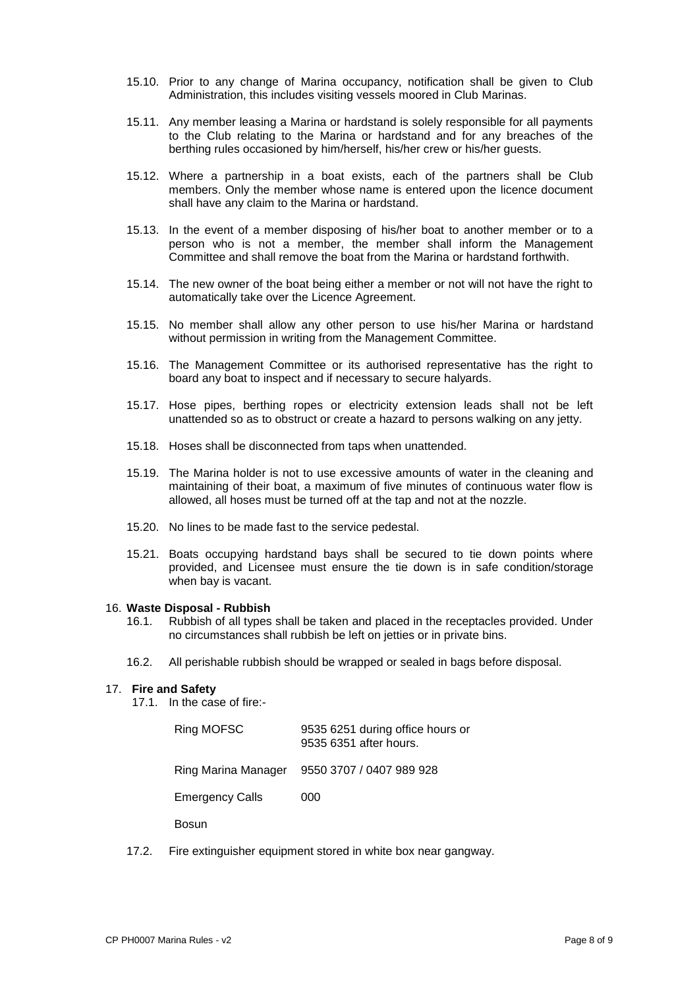- 15.10. Prior to any change of Marina occupancy, notification shall be given to Club Administration, this includes visiting vessels moored in Club Marinas.
- 15.11. Any member leasing a Marina or hardstand is solely responsible for all payments to the Club relating to the Marina or hardstand and for any breaches of the berthing rules occasioned by him/herself, his/her crew or his/her guests.
- 15.12. Where a partnership in a boat exists, each of the partners shall be Club members. Only the member whose name is entered upon the licence document shall have any claim to the Marina or hardstand.
- 15.13. In the event of a member disposing of his/her boat to another member or to a person who is not a member, the member shall inform the Management Committee and shall remove the boat from the Marina or hardstand forthwith.
- 15.14. The new owner of the boat being either a member or not will not have the right to automatically take over the Licence Agreement.
- 15.15. No member shall allow any other person to use his/her Marina or hardstand without permission in writing from the Management Committee.
- 15.16. The Management Committee or its authorised representative has the right to board any boat to inspect and if necessary to secure halyards.
- 15.17. Hose pipes, berthing ropes or electricity extension leads shall not be left unattended so as to obstruct or create a hazard to persons walking on any jetty.
- 15.18. Hoses shall be disconnected from taps when unattended.
- 15.19. The Marina holder is not to use excessive amounts of water in the cleaning and maintaining of their boat, a maximum of five minutes of continuous water flow is allowed, all hoses must be turned off at the tap and not at the nozzle.
- 15.20. No lines to be made fast to the service pedestal.
- 15.21. Boats occupying hardstand bays shall be secured to tie down points where provided, and Licensee must ensure the tie down is in safe condition/storage when bay is vacant.

#### 16. **Waste Disposal - Rubbish**

- 16.1. Rubbish of all types shall be taken and placed in the receptacles provided. Under no circumstances shall rubbish be left on jetties or in private bins.
- 16.2. All perishable rubbish should be wrapped or sealed in bags before disposal.

#### 17. **Fire and Safety**

17.1. In the case of fire:-

| Ring MOFSC             | 9535 6251 during office hours or<br>9535 6351 after hours. |
|------------------------|------------------------------------------------------------|
| Ring Marina Manager    | 9550 3707 / 0407 989 928                                   |
| <b>Emergency Calls</b> | 000                                                        |
|                        |                                                            |

Bosun

17.2. Fire extinguisher equipment stored in white box near gangway.